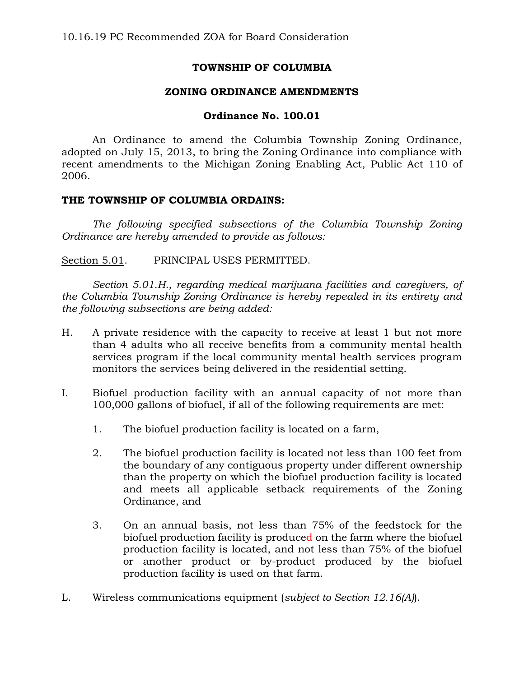# **TOWNSHIP OF COLUMBIA**

## **ZONING ORDINANCE AMENDMENTS**

### **Ordinance No. 100.01**

An Ordinance to amend the Columbia Township Zoning Ordinance, adopted on July 15, 2013, to bring the Zoning Ordinance into compliance with recent amendments to the Michigan Zoning Enabling Act, Public Act 110 of 2006.

#### **THE TOWNSHIP OF COLUMBIA ORDAINS:**

*The following specified subsections of the Columbia Township Zoning Ordinance are hereby amended to provide as follows:*

Section 5.01. PRINCIPAL USES PERMITTED.

*Section 5.01.H., regarding medical marijuana facilities and caregivers, of the Columbia Township Zoning Ordinance is hereby repealed in its entirety and the following subsections are being added:*

- H. A private residence with the capacity to receive at least 1 but not more than 4 adults who all receive benefits from a community mental health services program if the local community mental health services program monitors the services being delivered in the residential setting.
- I. Biofuel production facility with an annual capacity of not more than 100,000 gallons of biofuel, if all of the following requirements are met:
	- 1. The biofuel production facility is located on a farm,
	- 2. The biofuel production facility is located not less than 100 feet from the boundary of any contiguous property under different ownership than the property on which the biofuel production facility is located and meets all applicable setback requirements of the Zoning Ordinance, and
	- 3. On an annual basis, not less than 75% of the feedstock for the biofuel production facility is produced on the farm where the biofuel production facility is located, and not less than 75% of the biofuel or another product or by-product produced by the biofuel production facility is used on that farm.
- L. Wireless communications equipment (*subject to Section 12.16(A)*).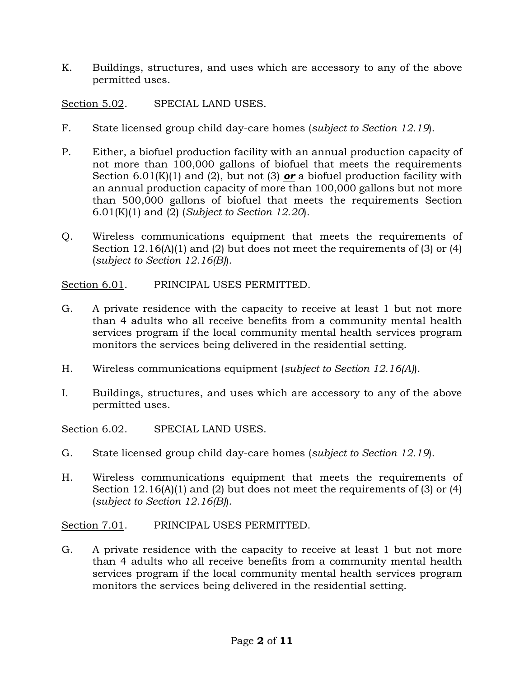K. Buildings, structures, and uses which are accessory to any of the above permitted uses.

Section 5.02. SPECIAL LAND USES.

- F. State licensed group child day-care homes (*subject to Section 12.19*).
- P. Either, a biofuel production facility with an annual production capacity of not more than 100,000 gallons of biofuel that meets the requirements Section  $6.01(K)(1)$  and  $(2)$ , but not  $(3)$  or a biofuel production facility with an annual production capacity of more than 100,000 gallons but not more than 500,000 gallons of biofuel that meets the requirements Section 6.01(K)(1) and (2) (*Subject to Section 12.20*).
- Q. Wireless communications equipment that meets the requirements of Section 12.16(A)(1) and (2) but does not meet the requirements of (3) or (4) (*subject to Section 12.16(B)*).

Section 6.01. PRINCIPAL USES PERMITTED.

- G. A private residence with the capacity to receive at least 1 but not more than 4 adults who all receive benefits from a community mental health services program if the local community mental health services program monitors the services being delivered in the residential setting.
- H. Wireless communications equipment (*subject to Section 12.16(A)*).
- I. Buildings, structures, and uses which are accessory to any of the above permitted uses.

Section 6.02. SPECIAL LAND USES.

- G. State licensed group child day-care homes (*subject to Section 12.19*).
- H. Wireless communications equipment that meets the requirements of Section 12.16(A)(1) and (2) but does not meet the requirements of (3) or (4) (*subject to Section 12.16(B)*).

Section 7.01. PRINCIPAL USES PERMITTED.

G. A private residence with the capacity to receive at least 1 but not more than 4 adults who all receive benefits from a community mental health services program if the local community mental health services program monitors the services being delivered in the residential setting.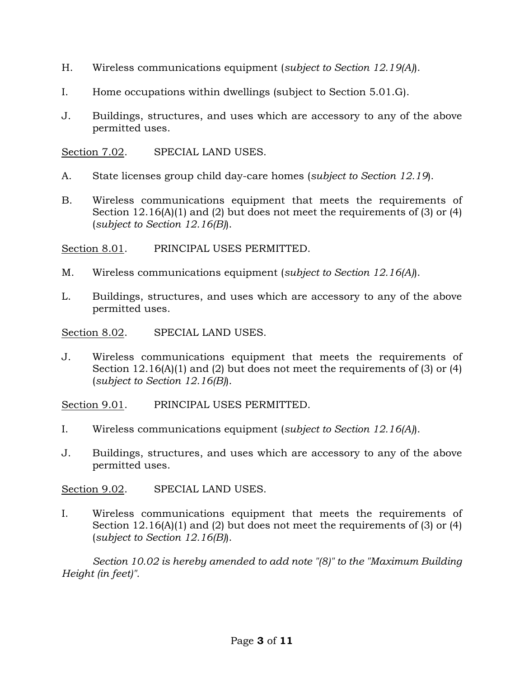- H. Wireless communications equipment (*subject to Section 12.19(A)*).
- I. Home occupations within dwellings (subject to Section 5.01.G).
- J. Buildings, structures, and uses which are accessory to any of the above permitted uses.

Section 7.02. SPECIAL LAND USES.

- A. State licenses group child day-care homes (*subject to Section 12.19*).
- B. Wireless communications equipment that meets the requirements of Section 12.16(A)(1) and (2) but does not meet the requirements of (3) or (4) (*subject to Section 12.16(B)*).

Section 8.01. PRINCIPAL USES PERMITTED.

- M. Wireless communications equipment (*subject to Section 12.16(A)*).
- L. Buildings, structures, and uses which are accessory to any of the above permitted uses.

Section 8.02. SPECIAL LAND USES.

J. Wireless communications equipment that meets the requirements of Section 12.16(A)(1) and (2) but does not meet the requirements of (3) or (4) (*subject to Section 12.16(B)*).

Section 9.01. PRINCIPAL USES PERMITTED.

- I. Wireless communications equipment (*subject to Section 12.16(A)*).
- J. Buildings, structures, and uses which are accessory to any of the above permitted uses.

Section 9.02. SPECIAL LAND USES.

I. Wireless communications equipment that meets the requirements of Section 12.16(A)(1) and (2) but does not meet the requirements of (3) or (4) (*subject to Section 12.16(B)*).

*Section 10.02 is hereby amended to add note "(8)" to the "Maximum Building Height (in feet)".*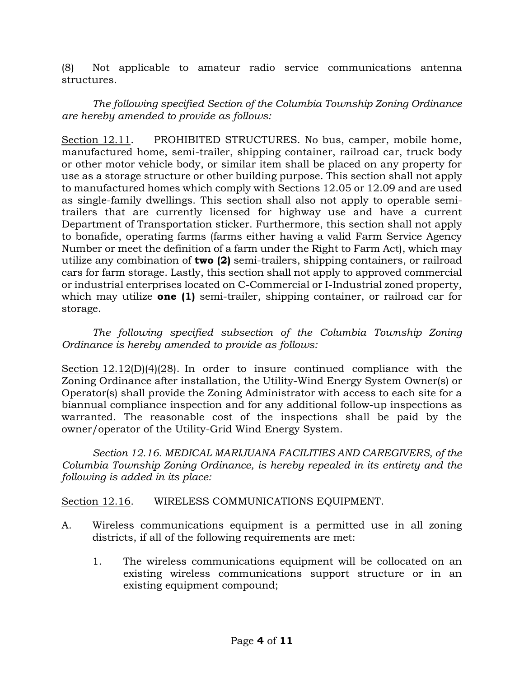(8) Not applicable to amateur radio service communications antenna structures.

*The following specified Section of the Columbia Township Zoning Ordinance are hereby amended to provide as follows:*

Section 12.11. PROHIBITED STRUCTURES. No bus, camper, mobile home, manufactured home, semi-trailer, shipping container, railroad car, truck body or other motor vehicle body, or similar item shall be placed on any property for use as a storage structure or other building purpose. This section shall not apply to manufactured homes which comply with Sections 12.05 or 12.09 and are used as single-family dwellings. This section shall also not apply to operable semitrailers that are currently licensed for highway use and have a current Department of Transportation sticker. Furthermore, this section shall not apply to bonafide, operating farms (farms either having a valid Farm Service Agency Number or meet the definition of a farm under the Right to Farm Act), which may utilize any combination of **two (2)** semi-trailers, shipping containers, or railroad cars for farm storage. Lastly, this section shall not apply to approved commercial or industrial enterprises located on C-Commercial or I-Industrial zoned property, which may utilize **one (1)** semi-trailer, shipping container, or railroad car for storage.

*The following specified subsection of the Columbia Township Zoning Ordinance is hereby amended to provide as follows:*

Section 12.12(D)(4)(28). In order to insure continued compliance with the Zoning Ordinance after installation, the Utility-Wind Energy System Owner(s) or Operator(s) shall provide the Zoning Administrator with access to each site for a biannual compliance inspection and for any additional follow-up inspections as warranted. The reasonable cost of the inspections shall be paid by the owner/operator of the Utility-Grid Wind Energy System.

*Section 12.16. MEDICAL MARIJUANA FACILITIES AND CAREGIVERS, of the Columbia Township Zoning Ordinance, is hereby repealed in its entirety and the following is added in its place:*

Section 12.16. WIRELESS COMMUNICATIONS EQUIPMENT.

- A. Wireless communications equipment is a permitted use in all zoning districts, if all of the following requirements are met:
	- 1. The wireless communications equipment will be collocated on an existing wireless communications support structure or in an existing equipment compound;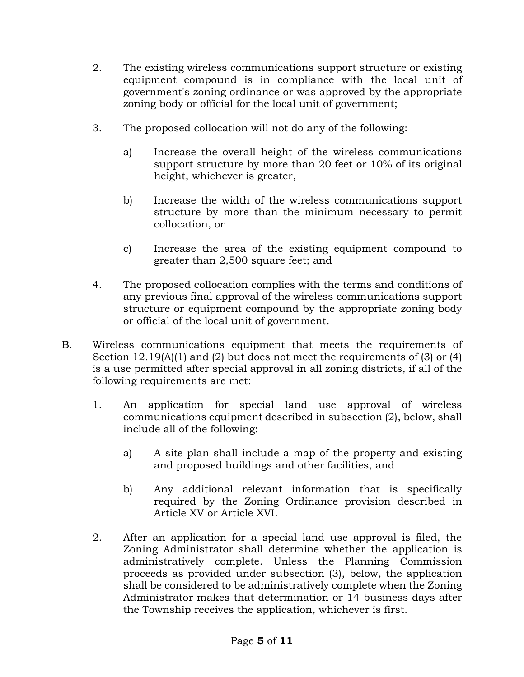- 2. The existing wireless communications support structure or existing equipment compound is in compliance with the local unit of government's zoning ordinance or was approved by the appropriate zoning body or official for the local unit of government;
- 3. The proposed collocation will not do any of the following:
	- a) Increase the overall height of the wireless communications support structure by more than 20 feet or 10% of its original height, whichever is greater,
	- b) Increase the width of the wireless communications support structure by more than the minimum necessary to permit collocation, or
	- c) Increase the area of the existing equipment compound to greater than 2,500 square feet; and
- 4. The proposed collocation complies with the terms and conditions of any previous final approval of the wireless communications support structure or equipment compound by the appropriate zoning body or official of the local unit of government.
- B. Wireless communications equipment that meets the requirements of Section 12.19(A)(1) and (2) but does not meet the requirements of (3) or (4) is a use permitted after special approval in all zoning districts, if all of the following requirements are met:
	- 1. An application for special land use approval of wireless communications equipment described in subsection (2), below, shall include all of the following:
		- a) A site plan shall include a map of the property and existing and proposed buildings and other facilities, and
		- b) Any additional relevant information that is specifically required by the Zoning Ordinance provision described in Article XV or Article XVI.
	- 2. After an application for a special land use approval is filed, the Zoning Administrator shall determine whether the application is administratively complete. Unless the Planning Commission proceeds as provided under subsection (3), below, the application shall be considered to be administratively complete when the Zoning Administrator makes that determination or 14 business days after the Township receives the application, whichever is first.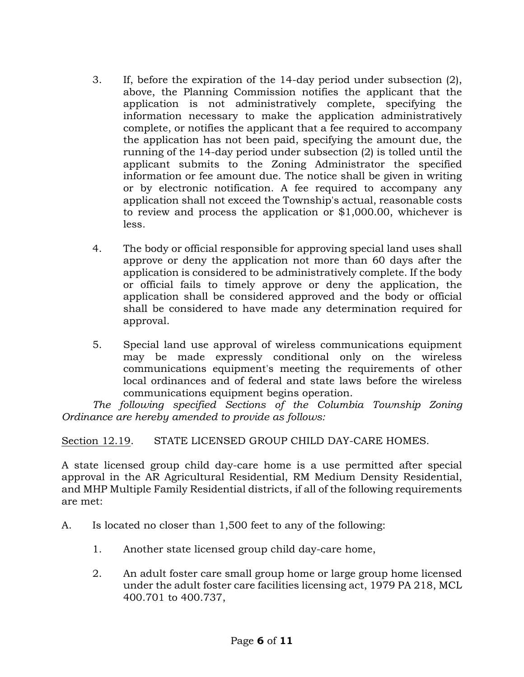- 3. If, before the expiration of the 14-day period under subsection (2), above, the Planning Commission notifies the applicant that the application is not administratively complete, specifying the information necessary to make the application administratively complete, or notifies the applicant that a fee required to accompany the application has not been paid, specifying the amount due, the running of the 14-day period under subsection (2) is tolled until the applicant submits to the Zoning Administrator the specified information or fee amount due. The notice shall be given in writing or by electronic notification. A fee required to accompany any application shall not exceed the Township's actual, reasonable costs to review and process the application or \$1,000.00, whichever is less.
- 4. The body or official responsible for approving special land uses shall approve or deny the application not more than 60 days after the application is considered to be administratively complete. If the body or official fails to timely approve or deny the application, the application shall be considered approved and the body or official shall be considered to have made any determination required for approval.
- 5. Special land use approval of wireless communications equipment may be made expressly conditional only on the wireless communications equipment's meeting the requirements of other local ordinances and of federal and state laws before the wireless communications equipment begins operation.

*The following specified Sections of the Columbia Township Zoning Ordinance are hereby amended to provide as follows:*

Section 12.19. STATE LICENSED GROUP CHILD DAY-CARE HOMES.

A state licensed group child day-care home is a use permitted after special approval in the AR Agricultural Residential, RM Medium Density Residential, and MHP Multiple Family Residential districts, if all of the following requirements are met:

- A. Is located no closer than 1,500 feet to any of the following:
	- 1. Another state licensed group child day-care home,
	- 2. An adult foster care small group home or large group home licensed under the adult foster care facilities licensing act, 1979 PA 218, MCL 400.701 to 400.737,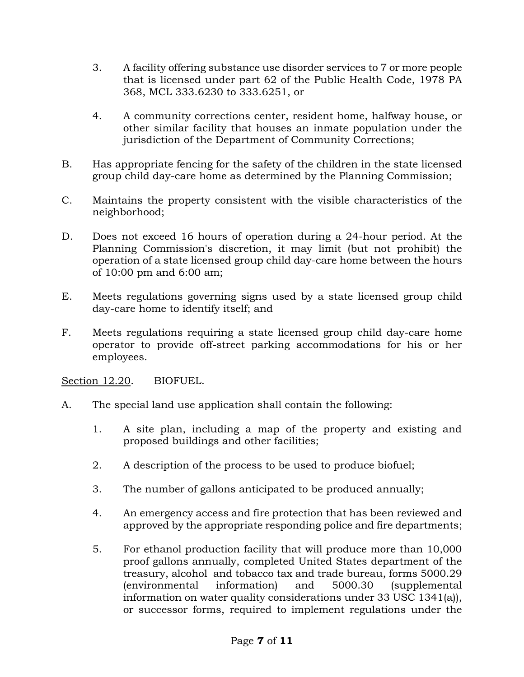- 3. A facility offering substance use disorder services to 7 or more people that is licensed under part 62 of the Public Health Code, 1978 PA 368, MCL 333.6230 to 333.6251, or
- 4. A community corrections center, resident home, halfway house, or other similar facility that houses an inmate population under the jurisdiction of the Department of Community Corrections;
- B. Has appropriate fencing for the safety of the children in the state licensed group child day-care home as determined by the Planning Commission;
- C. Maintains the property consistent with the visible characteristics of the neighborhood;
- D. Does not exceed 16 hours of operation during a 24-hour period. At the Planning Commission's discretion, it may limit (but not prohibit) the operation of a state licensed group child day-care home between the hours of 10:00 pm and 6:00 am;
- E. Meets regulations governing signs used by a state licensed group child day-care home to identify itself; and
- F. Meets regulations requiring a state licensed group child day-care home operator to provide off-street parking accommodations for his or her employees.

Section 12.20. BIOFUEL.

- A. The special land use application shall contain the following:
	- 1. A site plan, including a map of the property and existing and proposed buildings and other facilities;
	- 2. A description of the process to be used to produce biofuel;
	- 3. The number of gallons anticipated to be produced annually;
	- 4. An emergency access and fire protection that has been reviewed and approved by the appropriate responding police and fire departments;
	- 5. For ethanol production facility that will produce more than 10,000 proof gallons annually, completed United States department of the treasury, alcohol and tobacco tax and trade bureau, forms 5000.29 (environmental information) and 5000.30 (supplemental information on water quality considerations under 33 USC 1341(a)), or successor forms, required to implement regulations under the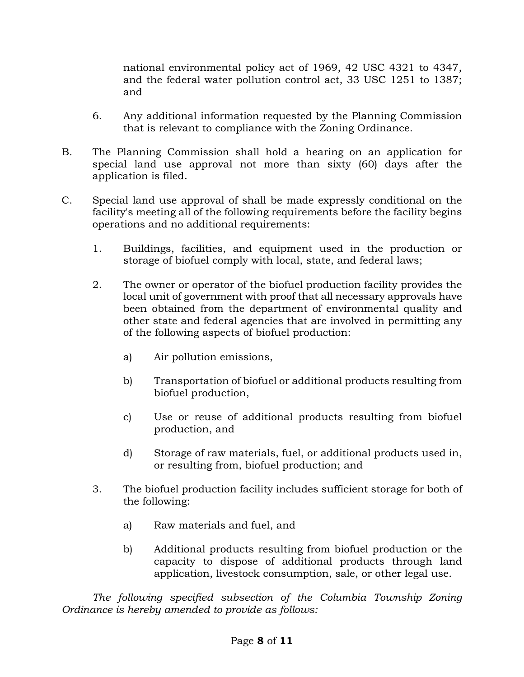national environmental policy act of 1969, 42 USC 4321 to 4347, and the federal water pollution control act, 33 USC 1251 to 1387; and

- 6. Any additional information requested by the Planning Commission that is relevant to compliance with the Zoning Ordinance.
- B. The Planning Commission shall hold a hearing on an application for special land use approval not more than sixty (60) days after the application is filed.
- C. Special land use approval of shall be made expressly conditional on the facility's meeting all of the following requirements before the facility begins operations and no additional requirements:
	- 1. Buildings, facilities, and equipment used in the production or storage of biofuel comply with local, state, and federal laws;
	- 2. The owner or operator of the biofuel production facility provides the local unit of government with proof that all necessary approvals have been obtained from the department of environmental quality and other state and federal agencies that are involved in permitting any of the following aspects of biofuel production:
		- a) Air pollution emissions,
		- b) Transportation of biofuel or additional products resulting from biofuel production,
		- c) Use or reuse of additional products resulting from biofuel production, and
		- d) Storage of raw materials, fuel, or additional products used in, or resulting from, biofuel production; and
	- 3. The biofuel production facility includes sufficient storage for both of the following:
		- a) Raw materials and fuel, and
		- b) Additional products resulting from biofuel production or the capacity to dispose of additional products through land application, livestock consumption, sale, or other legal use.

*The following specified subsection of the Columbia Township Zoning Ordinance is hereby amended to provide as follows:*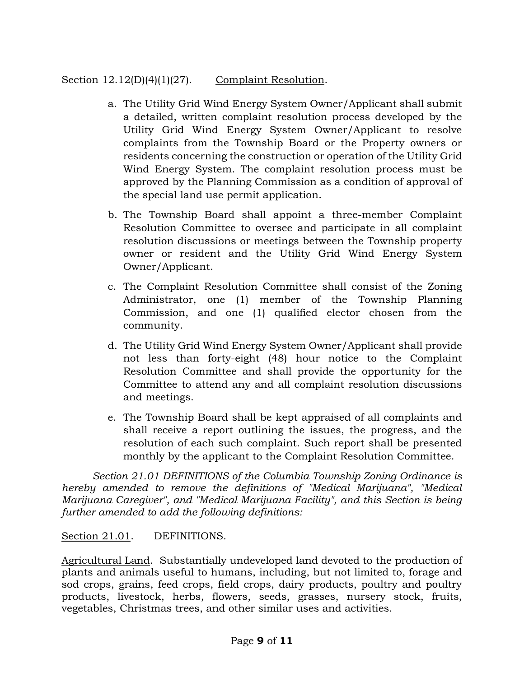# Section 12.12(D)(4)(1)(27). Complaint Resolution.

- a. The Utility Grid Wind Energy System Owner/Applicant shall submit a detailed, written complaint resolution process developed by the Utility Grid Wind Energy System Owner/Applicant to resolve complaints from the Township Board or the Property owners or residents concerning the construction or operation of the Utility Grid Wind Energy System. The complaint resolution process must be approved by the Planning Commission as a condition of approval of the special land use permit application.
- b. The Township Board shall appoint a three-member Complaint Resolution Committee to oversee and participate in all complaint resolution discussions or meetings between the Township property owner or resident and the Utility Grid Wind Energy System Owner/Applicant.
- c. The Complaint Resolution Committee shall consist of the Zoning Administrator, one (1) member of the Township Planning Commission, and one (1) qualified elector chosen from the community.
- d. The Utility Grid Wind Energy System Owner/Applicant shall provide not less than forty-eight (48) hour notice to the Complaint Resolution Committee and shall provide the opportunity for the Committee to attend any and all complaint resolution discussions and meetings.
- e. The Township Board shall be kept appraised of all complaints and shall receive a report outlining the issues, the progress, and the resolution of each such complaint. Such report shall be presented monthly by the applicant to the Complaint Resolution Committee.

*Section 21.01 DEFINITIONS of the Columbia Township Zoning Ordinance is hereby amended to remove the definitions of "Medical Marijuana", "Medical Marijuana Caregiver", and "Medical Marijuana Facility", and this Section is being further amended to add the following definitions:*

# Section 21.01. DEFINITIONS.

Agricultural Land. Substantially undeveloped land devoted to the production of plants and animals useful to humans, including, but not limited to, forage and sod crops, grains, feed crops, field crops, dairy products, poultry and poultry products, livestock, herbs, flowers, seeds, grasses, nursery stock, fruits, vegetables, Christmas trees, and other similar uses and activities.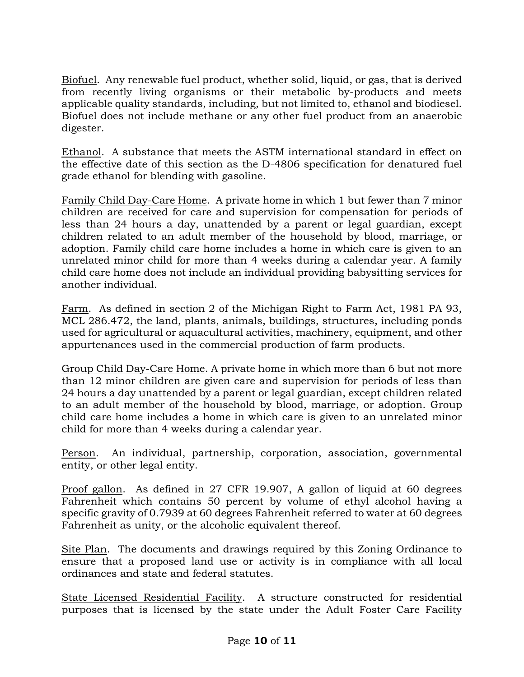Biofuel. Any renewable fuel product, whether solid, liquid, or gas, that is derived from recently living organisms or their metabolic by-products and meets applicable quality standards, including, but not limited to, ethanol and biodiesel. Biofuel does not include methane or any other fuel product from an anaerobic digester.

Ethanol. A substance that meets the ASTM international standard in effect on the effective date of this section as the D-4806 specification for denatured fuel grade ethanol for blending with gasoline.

Family Child Day-Care Home. A private home in which 1 but fewer than 7 minor children are received for care and supervision for compensation for periods of less than 24 hours a day, unattended by a parent or legal guardian, except children related to an adult member of the household by blood, marriage, or adoption. Family child care home includes a home in which care is given to an unrelated minor child for more than 4 weeks during a calendar year. A family child care home does not include an individual providing babysitting services for another individual.

Farm. As defined in section 2 of the Michigan Right to Farm Act, 1981 PA 93, MCL 286.472, the land, plants, animals, buildings, structures, including ponds used for agricultural or aquacultural activities, machinery, equipment, and other appurtenances used in the commercial production of farm products.

Group Child Day-Care Home. A private home in which more than 6 but not more than 12 minor children are given care and supervision for periods of less than 24 hours a day unattended by a parent or legal guardian, except children related to an adult member of the household by blood, marriage, or adoption. Group child care home includes a home in which care is given to an unrelated minor child for more than 4 weeks during a calendar year.

Person. An individual, partnership, corporation, association, governmental entity, or other legal entity.

Proof gallon. As defined in 27 CFR 19.907, A gallon of liquid at 60 degrees Fahrenheit which contains 50 percent by volume of ethyl alcohol having a specific gravity of 0.7939 at 60 degrees Fahrenheit referred to water at 60 degrees Fahrenheit as unity, or the alcoholic equivalent thereof.

Site Plan. The documents and drawings required by this Zoning Ordinance to ensure that a proposed land use or activity is in compliance with all local ordinances and state and federal statutes.

State Licensed Residential Facility. A structure constructed for residential purposes that is licensed by the state under the Adult Foster Care Facility